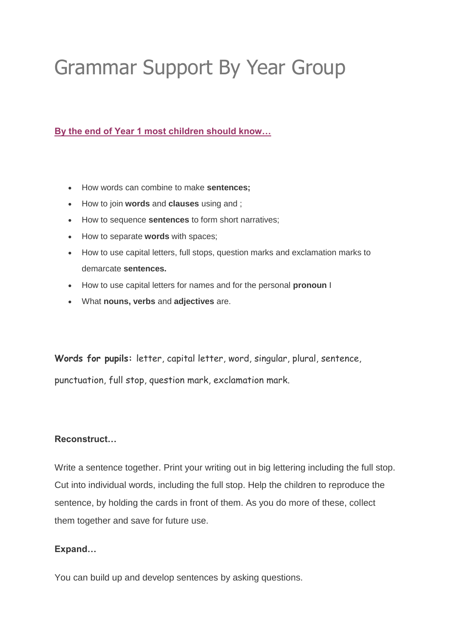# Grammar Support By Year Group

**By the end of Year 1 most children should know…** 

- How words can combine to make **sentences;**
- How to join **words** and **clauses** using and ;
- How to sequence **sentences** to form short narratives;
- How to separate **words** with spaces;
- How to use capital letters, full stops, question marks and exclamation marks to demarcate **sentences.**
- How to use capital letters for names and for the personal **pronoun** I
- What **nouns, verbs** and **adjectives** are.

**Words for pupils:** letter, capital letter, word, singular, plural, sentence, punctuation, full stop, question mark, exclamation mark.

# **Reconstruct…**

Write a sentence together. Print your writing out in big lettering including the full stop. Cut into individual words, including the full stop. Help the children to reproduce the sentence, by holding the cards in front of them. As you do more of these, collect them together and save for future use.

# **Expand…**

You can build up and develop sentences by asking questions.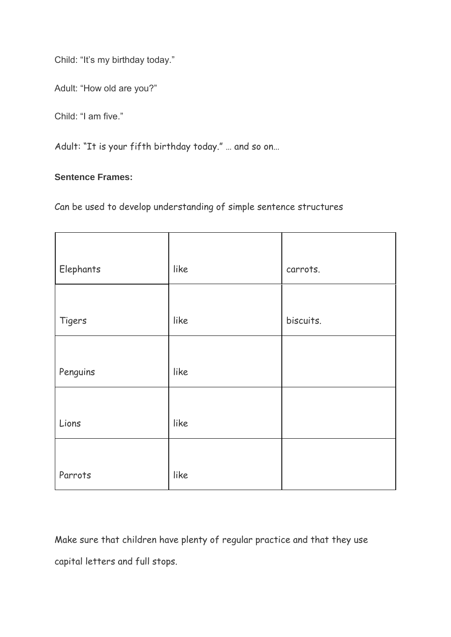Child: "It's my birthday today."

Adult: "How old are you?"

Child: "I am five."

Adult: "It is your fifth birthday today." … and so on…

# **Sentence Frames:**

Can be used to develop understanding of simple sentence structures

| Elephants | like | carrots.  |
|-----------|------|-----------|
|           |      |           |
| Tigers    | like | biscuits. |
|           |      |           |
| Penguins  | like |           |
|           |      |           |
| Lions     | like |           |
|           |      |           |
| Parrots   | like |           |

Make sure that children have plenty of regular practice and that they use capital letters and full stops.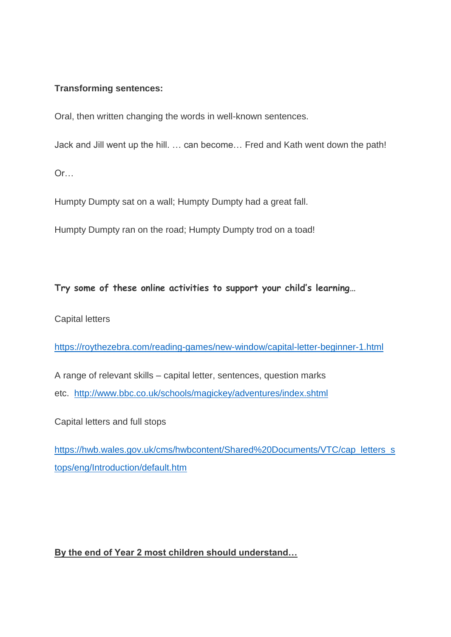# **Transforming sentences:**

Oral, then written changing the words in well-known sentences.

Jack and Jill went up the hill. … can become… Fred and Kath went down the path!

Or…

Humpty Dumpty sat on a wall; Humpty Dumpty had a great fall.

Humpty Dumpty ran on the road; Humpty Dumpty trod on a toad!

# **Try some of these online activities to support your child's learning…**

Capital letters

<https://roythezebra.com/reading-games/new-window/capital-letter-beginner-1.html>

A range of relevant skills – capital letter, sentences, question marks etc. <http://www.bbc.co.uk/schools/magickey/adventures/index.shtml>

Capital letters and full stops

[https://hwb.wales.gov.uk/cms/hwbcontent/Shared%20Documents/VTC/cap\\_letters\\_s](https://hwb.wales.gov.uk/cms/hwbcontent/Shared%20Documents/VTC/c%20ap_letters_stops/eng/Introduction/default.htm) [tops/eng/Introduction/default.htm](https://hwb.wales.gov.uk/cms/hwbcontent/Shared%20Documents/VTC/c%20ap_letters_stops/eng/Introduction/default.htm)

**By the end of Year 2 most children should understand…**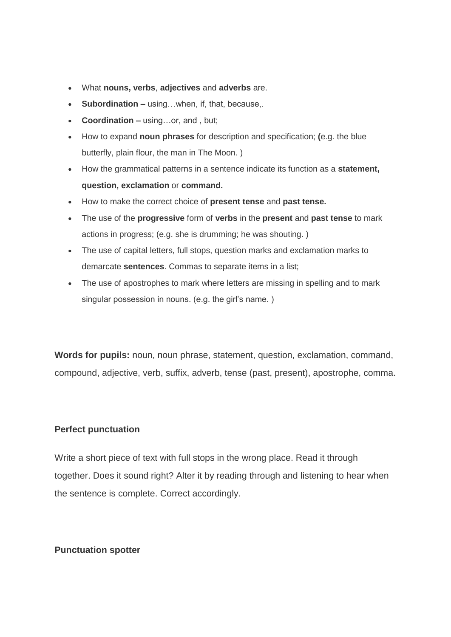- What **nouns, verbs**, **adjectives** and **adverbs** are.
- **Subordination –** using...when, if, that, because...
- **Coordination –** using…or, and , but;
- How to expand **noun phrases** for description and specification; **(**e.g. the blue butterfly, plain flour, the man in The Moon. )
- How the grammatical patterns in a sentence indicate its function as a **statement, question, exclamation** or **command.**
- How to make the correct choice of **present tense** and **past tense.**
- The use of the **progressive** form of **verbs** in the **present** and **past tense** to mark actions in progress; (e.g. she is drumming; he was shouting. )
- The use of capital letters, full stops, question marks and exclamation marks to demarcate **sentences**. Commas to separate items in a list;
- The use of apostrophes to mark where letters are missing in spelling and to mark singular possession in nouns. (e.g. the girl's name.)

**Words for pupils:** noun, noun phrase, statement, question, exclamation, command, compound, adjective, verb, suffix, adverb, tense (past, present), apostrophe, comma.

## **Perfect punctuation**

Write a short piece of text with full stops in the wrong place. Read it through together. Does it sound right? Alter it by reading through and listening to hear when the sentence is complete. Correct accordingly.

## **Punctuation spotter**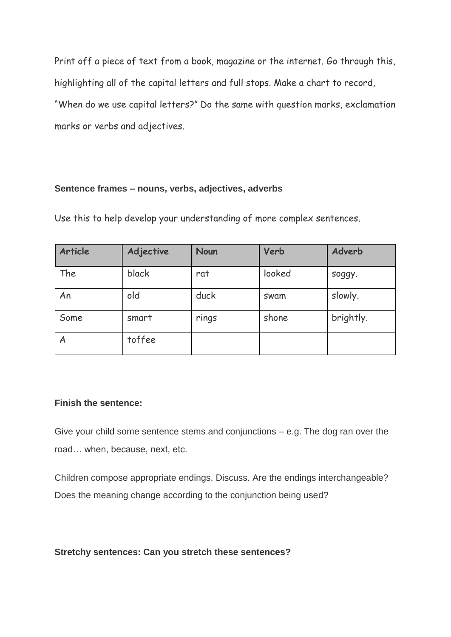Print off a piece of text from a book, magazine or the internet. Go through this, highlighting all of the capital letters and full stops. Make a chart to record, "When do we use capital letters?" Do the same with question marks, exclamation marks or verbs and adjectives.

## **Sentence frames – nouns, verbs, adjectives, adverbs**

Use this to help develop your understanding of more complex sentences.

| Article | Adjective | <b>Noun</b> | Verb   | Adverb    |
|---------|-----------|-------------|--------|-----------|
| The     | black     | rat         | looked | soggy.    |
| An      | old       | duck        | swam   | slowly.   |
| Some    | smart     | rings       | shone  | brightly. |
| A       | toffee    |             |        |           |

# **Finish the sentence:**

Give your child some sentence stems and conjunctions – e.g. The dog ran over the road… when, because, next, etc.

Children compose appropriate endings. Discuss. Are the endings interchangeable? Does the meaning change according to the conjunction being used?

## **Stretchy sentences: Can you stretch these sentences?**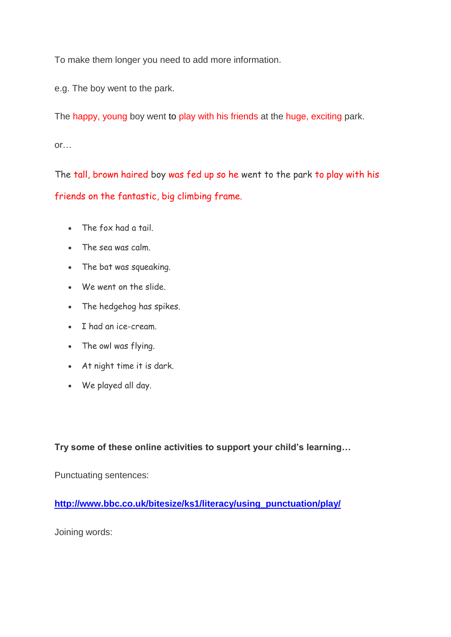To make them longer you need to add more information.

e.g. The boy went to the park.

The happy, young boy went to play with his friends at the huge, exciting park.

or…

The tall, brown haired boy was fed up so he went to the park to play with his friends on the fantastic, big climbing frame.

- The fox had a tail.
- The sea was calm.
- The bat was squeaking.
- We went on the slide.
- The hedgehog has spikes.
- I had an ice-cream.
- The owl was flying.
- At night time it is dark.
- We played all day.

**Try some of these online activities to support your child's learning…** 

Punctuating sentences:

**[http://www.bbc.co.uk/bitesize/ks1/literacy/using\\_punctuation/play/](http://www.bbc.co.uk/bitesize/ks1/literacy/using_punctuation/play/)**

Joining words: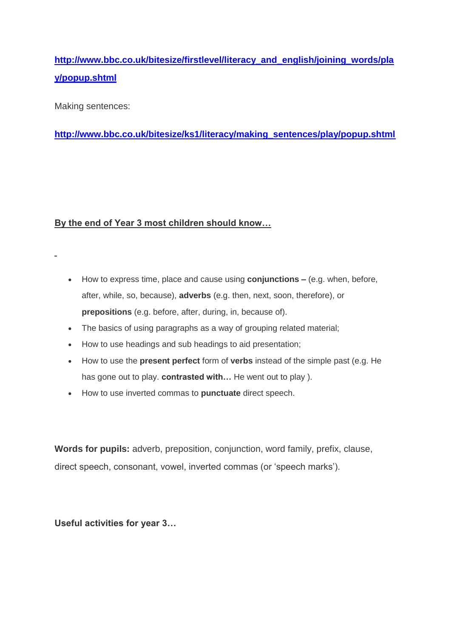**[http://www.bbc.co.uk/bitesize/firstlevel/literacy\\_and\\_english/joining\\_words/pla](http://www.bbc.co.uk/bitesize/firstlevel/literacy_and_english/joining_words/play/popup.shtml) [y/popup.shtml](http://www.bbc.co.uk/bitesize/firstlevel/literacy_and_english/joining_words/play/popup.shtml)**

Making sentences:

**[http://www.bbc.co.uk/bitesize/ks1/literacy/making\\_sentences/play/popup.shtml](http://www.bbc.co.uk/bitesize/ks1/literacy/making_sentences/play/popup.shtml)**

# **By the end of Year 3 most children should know…**

- How to express time, place and cause using **conjunctions –** (e.g. when, before, after, while, so, because), **adverbs** (e.g. then, next, soon, therefore), or **prepositions** (e.g. before, after, during, in, because of).
- The basics of using paragraphs as a way of grouping related material;
- How to use headings and sub headings to aid presentation;
- How to use the **present perfect** form of **verbs** instead of the simple past (e.g. He has gone out to play. **contrasted with…** He went out to play ).
- How to use inverted commas to **punctuate** direct speech.

**Words for pupils:** adverb, preposition, conjunction, word family, prefix, clause, direct speech, consonant, vowel, inverted commas (or 'speech marks').

**Useful activities for year 3…**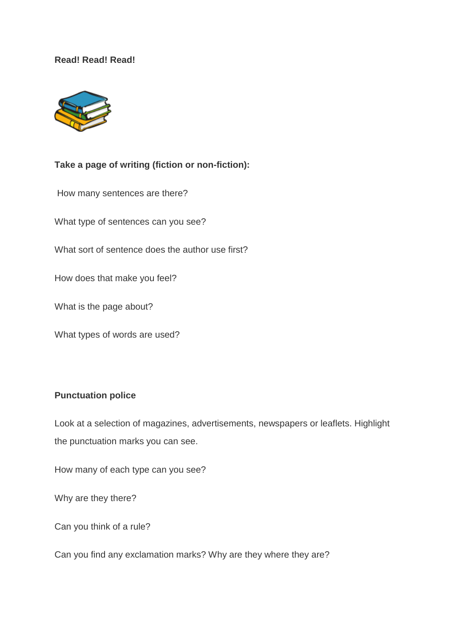## **Read! Read! Read!**



# **Take a page of writing (fiction or non-fiction):**

How many sentences are there?

What type of sentences can you see?

What sort of sentence does the author use first?

How does that make you feel?

What is the page about?

What types of words are used?

# **Punctuation police**

Look at a selection of magazines, advertisements, newspapers or leaflets. Highlight the punctuation marks you can see.

How many of each type can you see?

Why are they there?

Can you think of a rule?

Can you find any exclamation marks? Why are they where they are?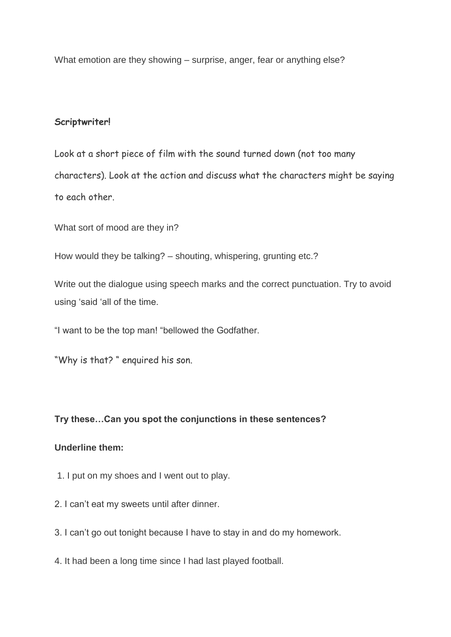What emotion are they showing – surprise, anger, fear or anything else?

# **Scriptwriter!**

Look at a short piece of film with the sound turned down (not too many characters). Look at the action and discuss what the characters might be saying to each other.

What sort of mood are they in?

How would they be talking? – shouting, whispering, grunting etc.?

Write out the dialogue using speech marks and the correct punctuation. Try to avoid using 'said 'all of the time.

"I want to be the top man! "bellowed the Godfather.

"Why is that? " enquired his son.

# **Try these…Can you spot the conjunctions in these sentences?**

# **Underline them:**

- 1. I put on my shoes and I went out to play.
- 2. I can't eat my sweets until after dinner.
- 3. I can't go out tonight because I have to stay in and do my homework.
- 4. It had been a long time since I had last played football.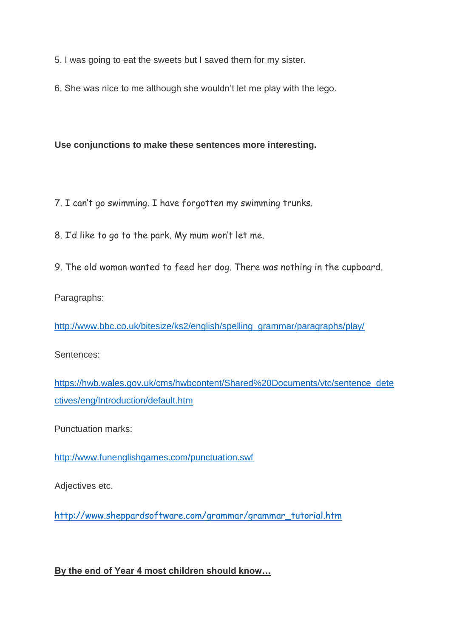5. I was going to eat the sweets but I saved them for my sister.

6. She was nice to me although she wouldn't let me play with the lego.

**Use conjunctions to make these sentences more interesting.** 

7. I can't go swimming. I have forgotten my swimming trunks.

8. I'd like to go to the park. My mum won't let me.

9. The old woman wanted to feed her dog. There was nothing in the cupboard.

Paragraphs:

[http://www.bbc.co.uk/bitesize/ks2/english/spelling\\_grammar/paragraphs/play/](http://www.bbc.co.uk/bitesize/ks2/english/spelling_grammar/paragraphs/play/)

Sentences:

[https://hwb.wales.gov.uk/cms/hwbcontent/Shared%20Documents/vtc/sentence\\_dete](https://hwb.wales.gov.uk/cms/hwbcontent/Shared%20Documents/vtc/sentence_detectives/eng/Introduction/default.htm) [ctives/eng/Introduction/default.htm](https://hwb.wales.gov.uk/cms/hwbcontent/Shared%20Documents/vtc/sentence_detectives/eng/Introduction/default.htm)

Punctuation marks:

<http://www.funenglishgames.com/punctuation.swf>

Adjectives etc.

[http://www.sheppardsoftware.com/grammar/grammar\\_tutorial.htm](http://www.sheppardsoftware.com/grammar/grammar_tutorial.htm)

**By the end of Year 4 most children should know…**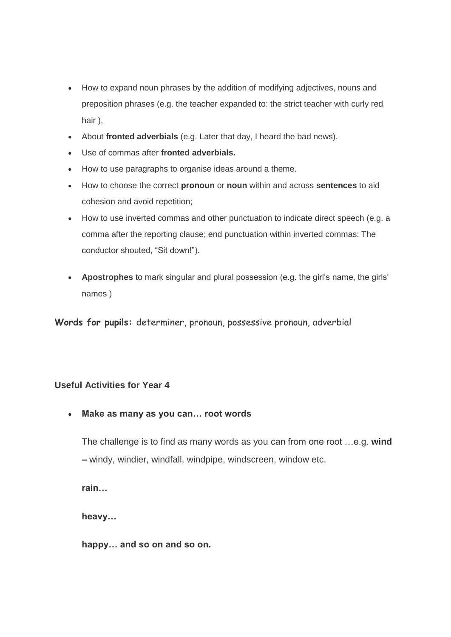- How to expand noun phrases by the addition of modifying adjectives, nouns and preposition phrases (e.g. the teacher expanded to: the strict teacher with curly red hair ),
- About **fronted adverbials** (e.g. Later that day, I heard the bad news).
- Use of commas after **fronted adverbials.**
- How to use paragraphs to organise ideas around a theme.
- How to choose the correct **pronoun** or **noun** within and across **sentences** to aid cohesion and avoid repetition;
- How to use inverted commas and other punctuation to indicate direct speech (e.g. a comma after the reporting clause; end punctuation within inverted commas: The conductor shouted, "Sit down!").
- **Apostrophes** to mark singular and plural possession (e.g. the girl's name, the girls' names )

**Words for pupils:** determiner, pronoun, possessive pronoun, adverbial

#### **Useful Activities for Year 4**

• **Make as many as you can… root words** 

The challenge is to find as many words as you can from one root …e.g. **wind –** windy, windier, windfall, windpipe, windscreen, window etc.

**rain…** 

**heavy…** 

**happy… and so on and so on.**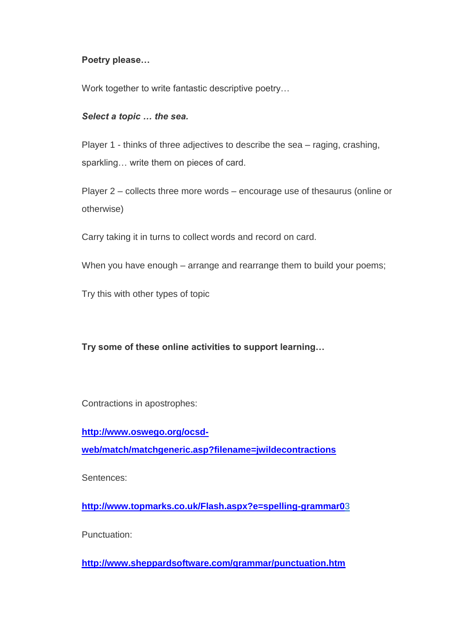## **Poetry please…**

Work together to write fantastic descriptive poetry…

#### *Select a topic … the sea.*

Player 1 - thinks of three adjectives to describe the sea – raging, crashing, sparkling… write them on pieces of card.

Player 2 – collects three more words – encourage use of thesaurus (online or otherwise)

Carry taking it in turns to collect words and record on card.

When you have enough – arrange and rearrange them to build your poems;

Try this with other types of topic

**Try some of these online activities to support learning…** 

Contractions in apostrophes:

**[http://www.oswego.org/ocsd](http://www.oswego.org/ocsd-web/match/matchgeneric.asp?filename=jwildecontractions)[web/match/matchgeneric.asp?filename=jwildecontractions](http://www.oswego.org/ocsd-web/match/matchgeneric.asp?filename=jwildecontractions)**

Sentences:

**[http://www.topmarks.co.uk/Flash.aspx?e=spelling-grammar0](http://www.topmarks.co.uk/Flash.aspx?e=spelling-grammar03)**3

Punctuation:

**<http://www.sheppardsoftware.com/grammar/punctuation.htm>**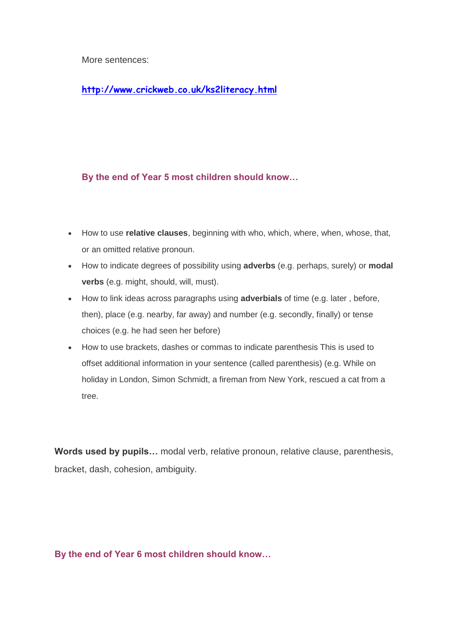More sentences:

**<http://www.crickweb.co.uk/ks2literacy.html>**

# **By the end of Year 5 most children should know…**

- How to use **relative clauses**, beginning with who, which, where, when, whose, that, or an omitted relative pronoun.
- How to indicate degrees of possibility using **adverbs** (e.g. perhaps, surely) or **modal verbs** (e.g. might, should, will, must).
- How to link ideas across paragraphs using **adverbials** of time (e.g. later , before, then), place (e.g. nearby, far away) and number (e.g. secondly, finally) or tense choices (e.g. he had seen her before)
- How to use brackets, dashes or commas to indicate parenthesis This is used to offset additional information in your sentence (called parenthesis) (e.g. While on holiday in London, Simon Schmidt, a fireman from New York, rescued a cat from a tree.

**Words used by pupils…** modal verb, relative pronoun, relative clause, parenthesis, bracket, dash, cohesion, ambiguity.

**By the end of Year 6 most children should know…**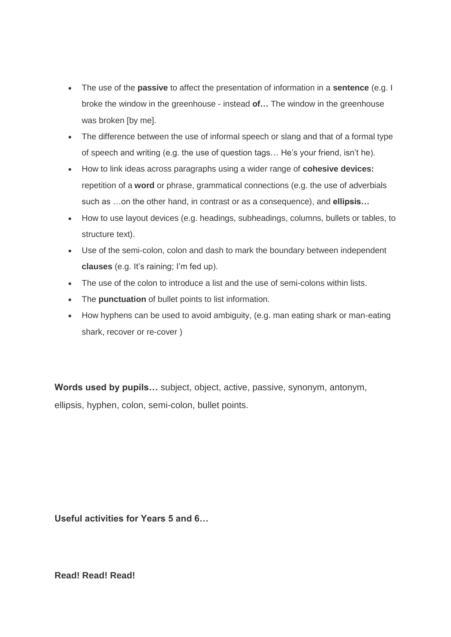- The use of the **passive** to affect the presentation of information in a **sentence** (e.g. I broke the window in the greenhouse - instead **of…** The window in the greenhouse was broken [by me].
- The difference between the use of informal speech or slang and that of a formal type of speech and writing (e.g. the use of question tags… He's your friend, isn't he).
- How to link ideas across paragraphs using a wider range of **cohesive devices:**  repetition of a **word** or phrase, grammatical connections (e.g. the use of adverbials such as …on the other hand, in contrast or as a consequence), and **ellipsis…**
- How to use layout devices (e.g. headings, subheadings, columns, bullets or tables, to structure text).
- Use of the semi-colon, colon and dash to mark the boundary between independent **clauses** (e.g. It's raining; I'm fed up).
- The use of the colon to introduce a list and the use of semi-colons within lists.
- The **punctuation** of bullet points to list information.
- How hyphens can be used to avoid ambiguity, (e.g. man eating shark or man-eating shark, recover or re-cover )

**Words used by pupils…** subject, object, active, passive, synonym, antonym, ellipsis, hyphen, colon, semi-colon, bullet points.

**Useful activities for Years 5 and 6…** 

**Read! Read! Read!**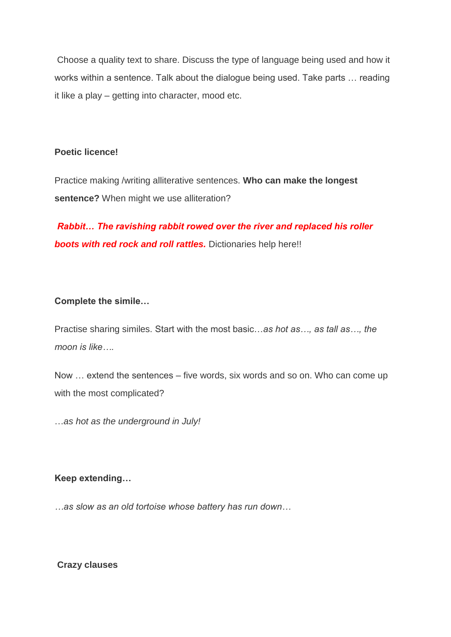Choose a quality text to share. Discuss the type of language being used and how it works within a sentence. Talk about the dialogue being used. Take parts … reading it like a play – getting into character, mood etc.

#### **Poetic licence!**

Practice making /writing alliterative sentences. **Who can make the longest sentence?** When might we use alliteration?

*Rabbit… The ravishing rabbit rowed over the river and replaced his roller boots with red rock and roll rattles.* Dictionaries help here!!

#### **Complete the simile…**

Practise sharing similes. Start with the most basic…*as hot as…, as tall as…, the moon is like….* 

Now … extend the sentences – five words, six words and so on. Who can come up with the most complicated?

…*as hot as the underground in July!* 

#### **Keep extending…**

*…as slow as an old tortoise whose battery has run down…* 

**Crazy clauses**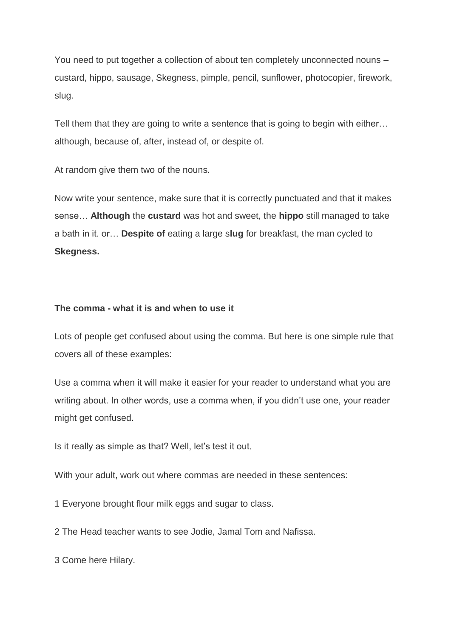You need to put together a collection of about ten completely unconnected nouns – custard, hippo, sausage, Skegness, pimple, pencil, sunflower, photocopier, firework, slug.

Tell them that they are going to write a sentence that is going to begin with either… although, because of, after, instead of, or despite of.

At random give them two of the nouns.

Now write your sentence, make sure that it is correctly punctuated and that it makes sense… **Although** the **custard** was hot and sweet, the **hippo** still managed to take a bath in it. or… **Despite of** eating a large s**lug** for breakfast, the man cycled to **Skegness.** 

#### **The comma - what it is and when to use it**

Lots of people get confused about using the comma. But here is one simple rule that covers all of these examples:

Use a comma when it will make it easier for your reader to understand what you are writing about. In other words, use a comma when, if you didn't use one, your reader might get confused.

Is it really as simple as that? Well, let's test it out.

With your adult, work out where commas are needed in these sentences:

1 Everyone brought flour milk eggs and sugar to class.

2 The Head teacher wants to see Jodie, Jamal Tom and Nafissa.

3 Come here Hilary.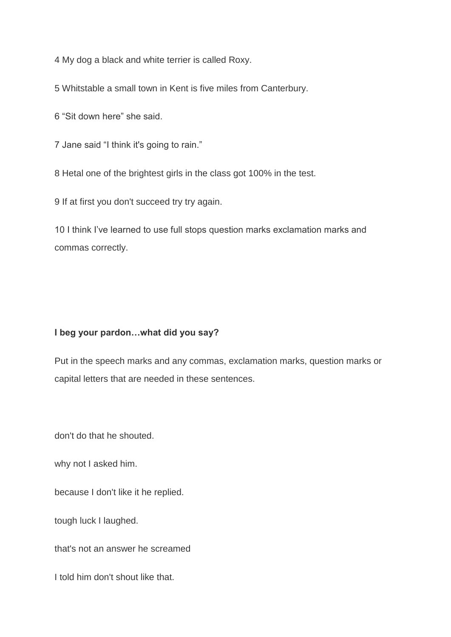4 My dog a black and white terrier is called Roxy.

5 Whitstable a small town in Kent is five miles from Canterbury.

6 "Sit down here" she said.

7 Jane said "I think it's going to rain."

8 Hetal one of the brightest girls in the class got 100% in the test.

9 If at first you don't succeed try try again.

10 I think I've learned to use full stops question marks exclamation marks and commas correctly.

#### **I beg your pardon…what did you say?**

Put in the speech marks and any commas, exclamation marks, question marks or capital letters that are needed in these sentences.

don't do that he shouted.

why not I asked him.

because I don't like it he replied.

tough luck I laughed.

that's not an answer he screamed

I told him don't shout like that.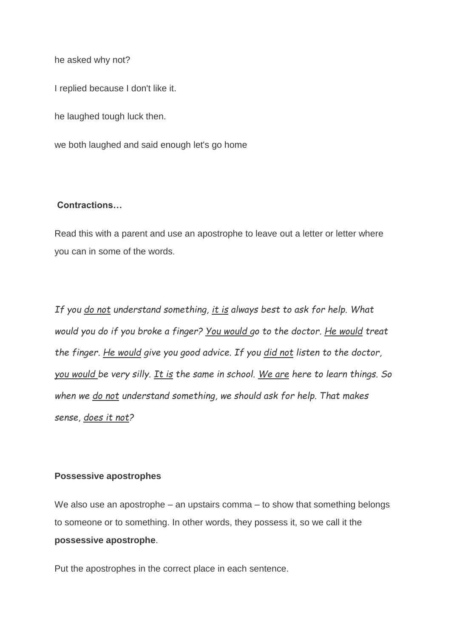he asked why not?

I replied because I don't like it.

he laughed tough luck then.

we both laughed and said enough let's go home

#### **Contractions…**

Read this with a parent and use an apostrophe to leave out a letter or letter where you can in some of the words.

*If you do not understand something, it is always best to ask for help. What would you do if you broke a finger? You would go to the doctor. He would treat the finger. He would give you good advice. If you did not listen to the doctor, you would be very silly. It is the same in school. We are here to learn things. So when we do not understand something, we should ask for help. That makes sense, does it not?*

#### **Possessive apostrophes**

We also use an apostrophe – an upstairs comma – to show that something belongs to someone or to something. In other words, they possess it, so we call it the **possessive apostrophe**.

Put the apostrophes in the correct place in each sentence.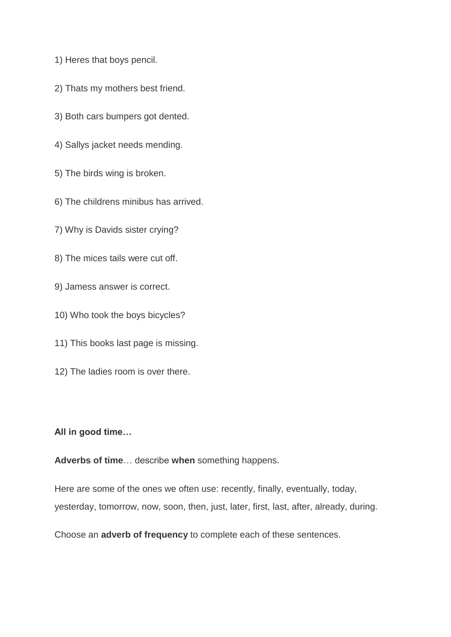- 1) Heres that boys pencil.
- 2) Thats my mothers best friend.
- 3) Both cars bumpers got dented.
- 4) Sallys jacket needs mending.
- 5) The birds wing is broken.
- 6) The childrens minibus has arrived.
- 7) Why is Davids sister crying?
- 8) The mices tails were cut off.
- 9) Jamess answer is correct.
- 10) Who took the boys bicycles?
- 11) This books last page is missing.
- 12) The ladies room is over there.

#### **All in good time…**

**Adverbs of time**… describe **when** something happens.

Here are some of the ones we often use: recently, finally, eventually, today, yesterday, tomorrow, now, soon, then, just, later, first, last, after, already, during.

Choose an **adverb of frequency** to complete each of these sentences.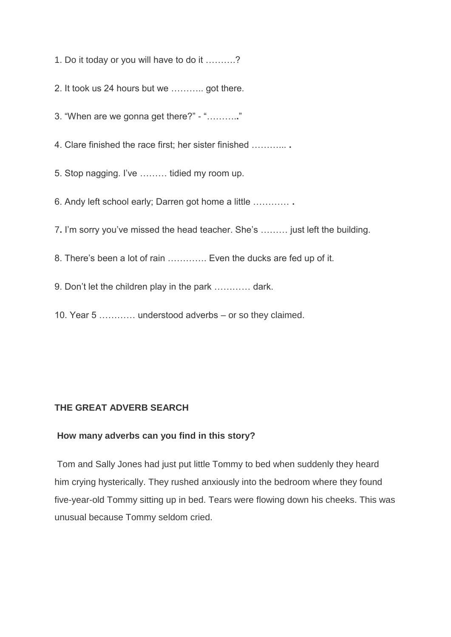1. Do it today or you will have to do it ……….?

2. It took us 24 hours but we ……….. got there.

3. "When are we gonna get there?" - "……….**.**"

4. Clare finished the race first; her sister finished ………... **.** 

5. Stop nagging. I've ……… tidied my room up.

6. Andy left school early; Darren got home a little ………… **.** 

7**.** I'm sorry you've missed the head teacher. She's ……… just left the building.

8. There's been a lot of rain …………. Even the ducks are fed up of it.

9. Don't let the children play in the park ………… dark.

10. Year 5 ………… understood adverbs – or so they claimed.

## **THE GREAT ADVERB SEARCH**

# **How many adverbs can you find in this story?**

Tom and Sally Jones had just put little Tommy to bed when suddenly they heard him crying hysterically. They rushed anxiously into the bedroom where they found five-year-old Tommy sitting up in bed. Tears were flowing down his cheeks. This was unusual because Tommy seldom cried.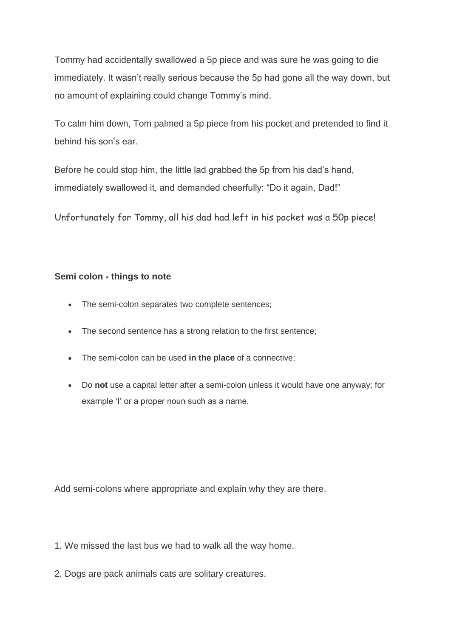Tommy had accidentally swallowed a 5p piece and was sure he was going to die immediately. It wasn't really serious because the 5p had gone all the way down, but no amount of explaining could change Tommy's mind.

To calm him down, Tom palmed a 5p piece from his pocket and pretended to find it behind his son's ear.

Before he could stop him, the little lad grabbed the 5p from his dad's hand, immediately swallowed it, and demanded cheerfully: "Do it again, Dad!"

Unfortunately for Tommy, all his dad had left in his pocket was a 50p piece!

# **Semi colon - things to note**

- The semi-colon separates two complete sentences;
- The second sentence has a strong relation to the first sentence;
- The semi-colon can be used **in the place** of a connective;
- Do **not** use a capital letter after a semi-colon unless it would have one anyway; for example 'I' or a proper noun such as a name.

Add semi-colons where appropriate and explain why they are there.

- 1. We missed the last bus we had to walk all the way home.
- 2. Dogs are pack animals cats are solitary creatures.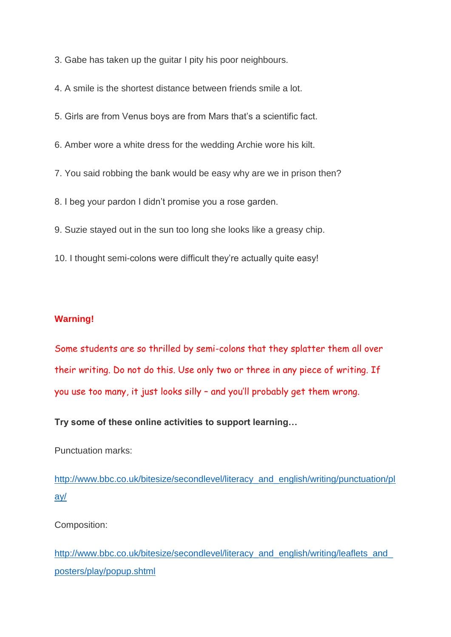3. Gabe has taken up the guitar I pity his poor neighbours.

4. A smile is the shortest distance between friends smile a lot.

5. Girls are from Venus boys are from Mars that's a scientific fact.

6. Amber wore a white dress for the wedding Archie wore his kilt.

7. You said robbing the bank would be easy why are we in prison then?

8. I beg your pardon I didn't promise you a rose garden.

9. Suzie stayed out in the sun too long she looks like a greasy chip.

10. I thought semi-colons were difficult they're actually quite easy!

## **Warning!**

Some students are so thrilled by semi-colons that they splatter them all over their writing. Do not do this. Use only two or three in any piece of writing. If you use too many, it just looks silly – and you'll probably get them wrong.

**Try some of these online activities to support learning…**

Punctuation marks:

[http://www.bbc.co.uk/bitesize/secondlevel/literacy\\_and\\_english/writing/punctuation/pl](http://www.bbc.co.uk/bitesize/secondlevel/literacy_and_english/writing/punctuation/play/) [ay/](http://www.bbc.co.uk/bitesize/secondlevel/literacy_and_english/writing/punctuation/play/)

Composition:

http://www.bbc.co.uk/bitesize/secondlevel/literacy\_and\_english/writing/leaflets\_and [posters/play/popup.shtml](http://www.bbc.co.uk/bitesize/secondlevel/literacy_and_english/writing/leaflets_and_posters/play/popup.shtml)